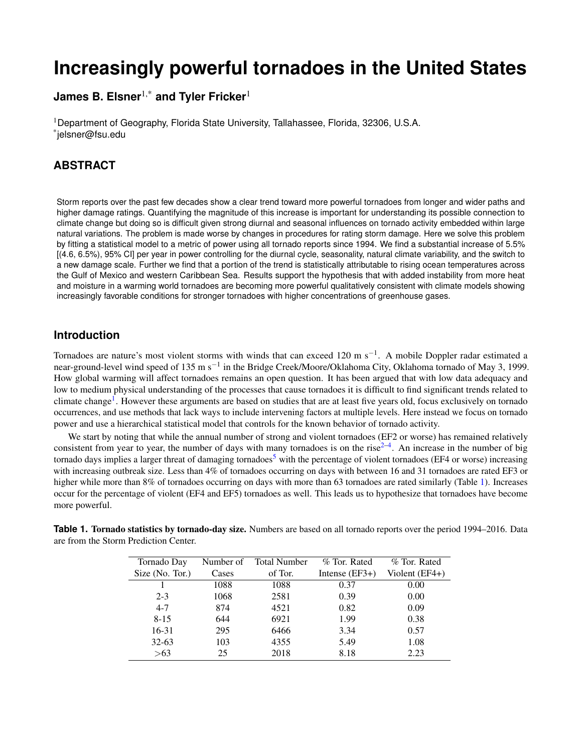# **Increasingly powerful tornadoes in the United States**

**James B. Elsner**1,\* **and Tyler Fricker**<sup>1</sup>

<sup>1</sup>Department of Geography, Florida State University, Tallahassee, Florida, 32306, U.S.A. \* jelsner@fsu.edu

# **ABSTRACT**

Storm reports over the past few decades show a clear trend toward more powerful tornadoes from longer and wider paths and higher damage ratings. Quantifying the magnitude of this increase is important for understanding its possible connection to climate change but doing so is difficult given strong diurnal and seasonal influences on tornado activity embedded within large natural variations. The problem is made worse by changes in procedures for rating storm damage. Here we solve this problem by fitting a statistical model to a metric of power using all tornado reports since 1994. We find a substantial increase of 5.5% [(4.6, 6.5%), 95% CI] per year in power controlling for the diurnal cycle, seasonality, natural climate variability, and the switch to a new damage scale. Further we find that a portion of the trend is statistically attributable to rising ocean temperatures across the Gulf of Mexico and western Caribbean Sea. Results support the hypothesis that with added instability from more heat and moisture in a warming world tornadoes are becoming more powerful qualitatively consistent with climate models showing increasingly favorable conditions for stronger tornadoes with higher concentrations of greenhouse gases.

# **Introduction**

Tornadoes are nature's most violent storms with winds that can exceed 120 m s<sup>-1</sup>. A mobile Doppler radar estimated a near-ground-level wind speed of 135 m s<sup>−1</sup> in the Bridge Creek/Moore/Oklahoma City, Oklahoma tornado of May 3, 1999. How global warming will affect tornadoes remains an open question. It has been argued that with low data adequacy and low to medium physical understanding of the processes that cause tornadoes it is difficult to find significant trends related to climate change<sup>[1](#page-4-0)</sup>. However these arguments are based on studies that are at least five years old, focus exclusively on tornado occurrences, and use methods that lack ways to include intervening factors at multiple levels. Here instead we focus on tornado power and use a hierarchical statistical model that controls for the known behavior of tornado activity.

We start by noting that while the annual number of strong and violent tornadoes (EF2 or worse) has remained relatively consistent from year to year, the number of days with many tornadoes is on the rise $2-4$  $2-4$ . An increase in the number of big tornado days implies a larger threat of damaging tornadoes<sup>[5](#page-5-1)</sup> with the percentage of violent tornadoes (EF4 or worse) increasing with increasing outbreak size. Less than 4% of tornadoes occurring on days with between 16 and 31 tornadoes are rated EF3 or higher while more than 8% of tornadoes occurring on days with more than 63 tornadoes are rated similarly (Table [1\)](#page-0-0). Increases occur for the percentage of violent (EF4 and EF5) tornadoes as well. This leads us to hypothesize that tornadoes have become more powerful.

| Tornado Day     | Number of | <b>Total Number</b> | % Tor. Rated     | % Tor. Rated   |
|-----------------|-----------|---------------------|------------------|----------------|
| Size (No. Tor.) | Cases     | of Tor.             | Intense $(EF3+)$ | Violent (EF4+) |
|                 | 1088      | 1088                | 0.37             | 0.00           |
| $2 - 3$         | 1068      | 2581                | 0.39             | 0.00           |
| $4 - 7$         | 874       | 4521                | 0.82             | 0.09           |
| $8 - 15$        | 644       | 6921                | 1.99             | 0.38           |
| 16-31           | 295       | 6466                | 3.34             | 0.57           |
| $32 - 63$       | 103       | 4355                | 5.49             | 1.08           |
| >63             | 25        | 2018                | 8.18             | 2.23           |

<span id="page-0-0"></span>**Table 1. Tornado statistics by tornado-day size.** Numbers are based on all tornado reports over the period 1994–2016. Data are from the Storm Prediction Center.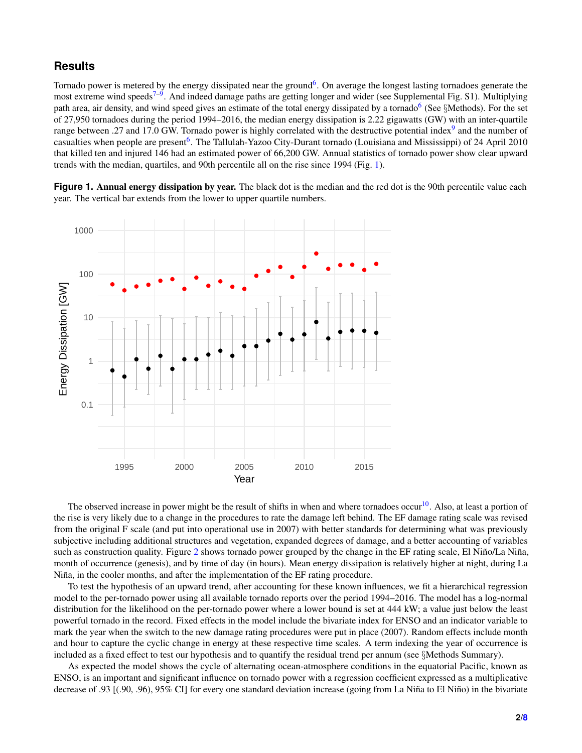## **Results**

Tornado power is metered by the energy dissipated near the ground<sup>[6](#page-5-2)</sup>. On average the longest lasting tornadoes generate the most extreme wind speeds<sup>[7](#page-5-3)[–9](#page-5-4)</sup>. And indeed damage paths are getting longer and wider (see Supplemental Fig. S1). Multiplying path area, air density, and wind speed gives an estimate of the total energy dissipated by a tornado<sup>[6](#page-5-2)</sup> (See §Methods). For the set of 27,950 tornadoes during the period 1994–2016, the median energy dissipation is 2.22 gigawatts (GW) with an inter-quartile range between .27 and 17.0 GW. Tornado power is highly correlated with the destructive potential index<sup>[9](#page-5-4)</sup> and the number of casualties when people are present<sup>[6](#page-5-2)</sup>. The Tallulah-Yazoo City-Durant tornado (Louisiana and Mississippi) of 24 April 2010 that killed ten and injured 146 had an estimated power of 66,200 GW. Annual statistics of tornado power show clear upward trends with the median, quartiles, and 90th percentile all on the rise since 1994 (Fig. [1\)](#page-1-0).

<span id="page-1-0"></span>Figure 1. Annual energy dissipation by year. The black dot is the median and the red dot is the 90th percentile value each year. The vertical bar extends from the lower to upper quartile numbers.



The observed increase in power might be the result of shifts in when and where tornadoes occur<sup>[10](#page-5-5)</sup>. Also, at least a portion of the rise is very likely due to a change in the procedures to rate the damage left behind. The EF damage rating scale was revised from the original F scale (and put into operational use in 2007) with better standards for determining what was previously subjective including additional structures and vegetation, expanded degrees of damage, and a better accounting of variables such as construction quality. Figure [2](#page-2-0) shows tornado power grouped by the change in the EF rating scale, El Niño/La Niña, month of occurrence (genesis), and by time of day (in hours). Mean energy dissipation is relatively higher at night, during La Niña, in the cooler months, and after the implementation of the EF rating procedure.

To test the hypothesis of an upward trend, after accounting for these known influences, we fit a hierarchical regression model to the per-tornado power using all available tornado reports over the period 1994–2016. The model has a log-normal distribution for the likelihood on the per-tornado power where a lower bound is set at 444 kW; a value just below the least powerful tornado in the record. Fixed effects in the model include the bivariate index for ENSO and an indicator variable to mark the year when the switch to the new damage rating procedures were put in place (2007). Random effects include month and hour to capture the cyclic change in energy at these respective time scales. A term indexing the year of occurrence is included as a fixed effect to test our hypothesis and to quantify the residual trend per annum (see §Methods Summary).

As expected the model shows the cycle of alternating ocean-atmosphere conditions in the equatorial Pacific, known as ENSO, is an important and significant influence on tornado power with a regression coefficient expressed as a multiplicative decrease of .93  $[(.90, .96), 95\%$  CI] for every one standard deviation increase (going from La Niña to El Niño) in the bivariate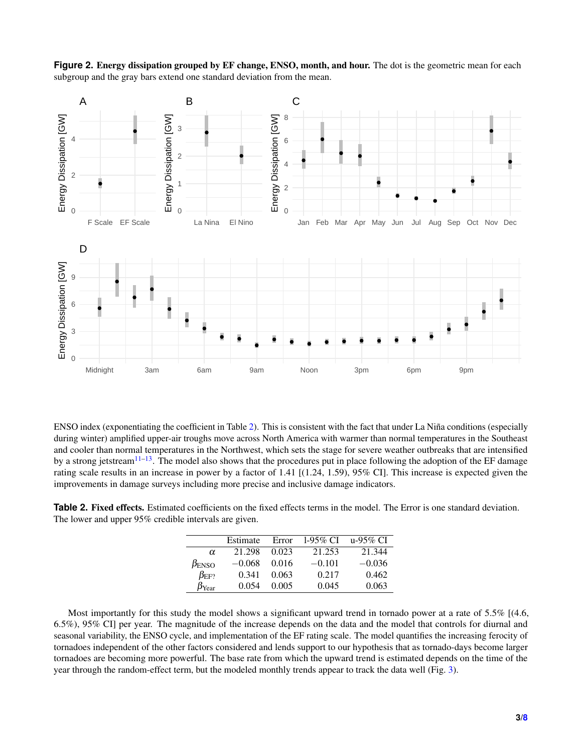<span id="page-2-0"></span>



ENSO index (exponentiating the coefficient in Table [2\)](#page-2-1). This is consistent with the fact that under La Niña conditions (especially during winter) amplified upper-air troughs move across North America with warmer than normal temperatures in the Southeast and cooler than normal temperatures in the Northwest, which sets the stage for severe weather outbreaks that are intensified by a strong jetstream $11-13$  $11-13$ . The model also shows that the procedures put in place following the adoption of the EF damage rating scale results in an increase in power by a factor of 1.41 [(1.24, 1.59), 95% CI]. This increase is expected given the improvements in damage surveys including more precise and inclusive damage indicators.

<span id="page-2-1"></span>**Table 2.** Fixed effects. Estimated coefficients on the fixed effects terms in the model. The Error is one standard deviation. The lower and upper 95% credible intervals are given.

|                       | Estimate | Error | $1-95\%$ CI | u-95% CI |
|-----------------------|----------|-------|-------------|----------|
| α                     | 21.298   | 0.023 | 21.253      | 21.344   |
| $\beta_{\rm ENSO}$    | $-0.068$ | 0.016 | $-0.101$    | $-0.036$ |
| $\beta_{\rm EF2}$     | 0.341    | 0.063 | 0.217       | 0.462    |
| $\beta_{\text{Year}}$ | 0.054    | 0.005 | 0.045       | 0.063    |

Most importantly for this study the model shows a significant upward trend in tornado power at a rate of 5.5% [(4.6, 6.5%), 95% CI] per year. The magnitude of the increase depends on the data and the model that controls for diurnal and seasonal variability, the ENSO cycle, and implementation of the EF rating scale. The model quantifies the increasing ferocity of tornadoes independent of the other factors considered and lends support to our hypothesis that as tornado-days become larger tornadoes are becoming more powerful. The base rate from which the upward trend is estimated depends on the time of the year through the random-effect term, but the modeled monthly trends appear to track the data well (Fig. [3\)](#page-3-0).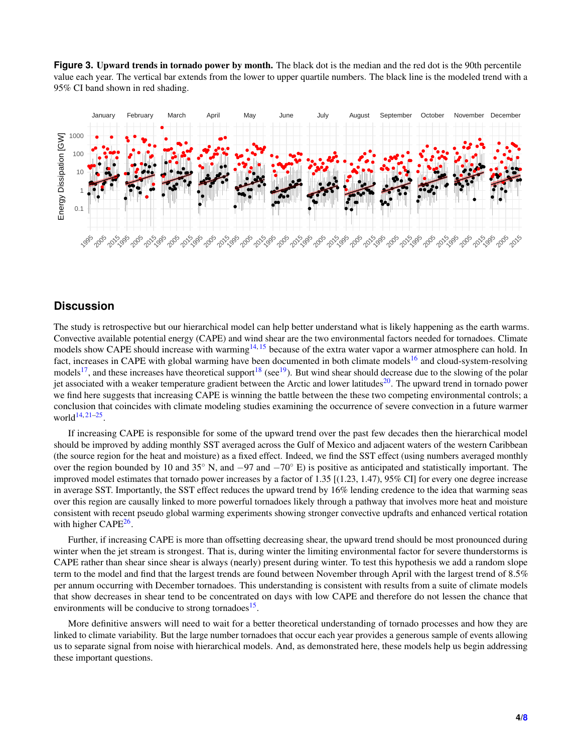<span id="page-3-0"></span>**Figure 3.** Upward trends in tornado power by month. The black dot is the median and the red dot is the 90th percentile value each year. The vertical bar extends from the lower to upper quartile numbers. The black line is the modeled trend with a 95% CI band shown in red shading.



# **Discussion**

The study is retrospective but our hierarchical model can help better understand what is likely happening as the earth warms. Convective available potential energy (CAPE) and wind shear are the two environmental factors needed for tornadoes. Climate models show CAPE should increase with warming<sup>[14,](#page-5-8) [15](#page-5-9)</sup> because of the extra water vapor a warmer atmosphere can hold. In fact, increases in CAPE with global warming have been documented in both climate models<sup>[16](#page-5-10)</sup> and cloud-system-resolving models<sup>[17](#page-5-11)</sup>, and these increases have theoretical support<sup>[18](#page-5-12)</sup> (see<sup>[19](#page-5-13)</sup>). But wind shear should decrease due to the slowing of the polar jet associated with a weaker temperature gradient between the Arctic and lower latitudes<sup>[20](#page-5-14)</sup>. The upward trend in tornado power we find here suggests that increasing CAPE is winning the battle between the these two competing environmental controls; a conclusion that coincides with climate modeling studies examining the occurrence of severe convection in a future warmer world $14, 21-25$  $14, 21-25$  $14, 21-25$ .

If increasing CAPE is responsible for some of the upward trend over the past few decades then the hierarchical model should be improved by adding monthly SST averaged across the Gulf of Mexico and adjacent waters of the western Caribbean (the source region for the heat and moisture) as a fixed effect. Indeed, we find the SST effect (using numbers averaged monthly over the region bounded by 10 and 35 $\degree$  N, and  $-97$  and  $-70\degree$  E) is positive as anticipated and statistically important. The improved model estimates that tornado power increases by a factor of 1.35 [(1.23, 1.47), 95% CI] for every one degree increase in average SST. Importantly, the SST effect reduces the upward trend by 16% lending credence to the idea that warming seas over this region are causally linked to more powerful tornadoes likely through a pathway that involves more heat and moisture consistent with recent pseudo global warming experiments showing stronger convective updrafts and enhanced vertical rotation with higher CAPE<sup>[26](#page-5-17)</sup>.

Further, if increasing CAPE is more than offsetting decreasing shear, the upward trend should be most pronounced during winter when the jet stream is strongest. That is, during winter the limiting environmental factor for severe thunderstorms is CAPE rather than shear since shear is always (nearly) present during winter. To test this hypothesis we add a random slope term to the model and find that the largest trends are found between November through April with the largest trend of 8.5% per annum occurring with December tornadoes. This understanding is consistent with results from a suite of climate models that show decreases in shear tend to be concentrated on days with low CAPE and therefore do not lessen the chance that environments will be conducive to strong tornadoes<sup>[15](#page-5-9)</sup>.

More definitive answers will need to wait for a better theoretical understanding of tornado processes and how they are linked to climate variability. But the large number tornadoes that occur each year provides a generous sample of events allowing us to separate signal from noise with hierarchical models. And, as demonstrated here, these models help us begin addressing these important questions.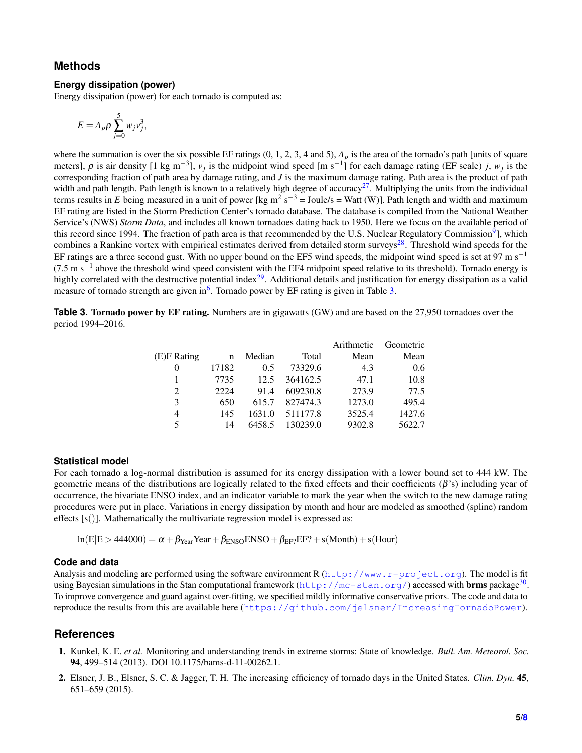### **Methods**

#### **Energy dissipation (power)**

Energy dissipation (power) for each tornado is computed as:

$$
E=A_p\rho\sum_{j=0}^5 w_jv_j^3,
$$

where the summation is over the six possible EF ratings  $(0, 1, 2, 3, 4 \text{ and } 5)$ ,  $A_p$  is the area of the tornado's path [units of square meters],  $\rho$  is air density [1 kg m<sup>-3</sup>],  $v_j$  is the midpoint wind speed [m s<sup>-1</sup>] for each damage rating (EF scale) *j*,  $w_j$  is the corresponding fraction of path area by damage rating, and *J* is the maximum damage rating. Path area is the product of path width and path length. Path length is known to a relatively high degree of accuracy<sup>[27](#page-6-0)</sup>. Multiplying the units from the individual terms results in *E* being measured in a unit of power [kg m<sup>2</sup> s<sup>-3</sup> = Joule/s = Watt (W)]. Path length and width and maximum EF rating are listed in the Storm Prediction Center's tornado database. The database is compiled from the National Weather Service's (NWS) *Storm Data*, and includes all known tornadoes dating back to 1950. Here we focus on the available period of this record since 1[9](#page-5-4)94. The fraction of path area is that recommended by the U.S. Nuclear Regulatory Commission<sup>9</sup>], which combines a Rankine vortex with empirical estimates derived from detailed storm surveys<sup>[28](#page-6-1)</sup>. Threshold wind speeds for the EF ratings are a three second gust. With no upper bound on the EF5 wind speeds, the midpoint wind speed is set at 97 m s<sup>−1</sup>  $(7.5 \text{ m s}^{-1})$  above the threshold wind speed consistent with the EF4 midpoint speed relative to its threshold). Tornado energy is highly correlated with the destructive potential index<sup>[29](#page-6-2)</sup>. Additional details and justification for energy dissipation as a valid measure of tornado strength are given in<sup>[6](#page-5-2)</sup>. Tornado power by EF rating is given in Table [3.](#page-4-2)

<span id="page-4-2"></span>**Table 3. Tornado power by EF rating.** Numbers are in gigawatts (GW) and are based on the 27,950 tornadoes over the period 1994–2016.

|             |       |        |          | Arithmetic | Geometric |
|-------------|-------|--------|----------|------------|-----------|
| (E)F Rating | n     | Median | Total    | Mean       | Mean      |
| $\theta$    | 17182 | 0.5    | 73329.6  | 4.3        | 0.6       |
|             | 7735  | 12.5   | 364162.5 | 47.1       | 10.8      |
| 2           | 2224  | 91.4   | 609230.8 | 273.9      | 77.5      |
| 3           | 650   | 615.7  | 827474.3 | 1273.0     | 495.4     |
| 4           | 145   | 1631.0 | 511177.8 | 3525.4     | 1427.6    |
| 5           | 14    | 6458.5 | 130239.0 | 9302.8     | 5622.7    |

#### **Statistical model**

For each tornado a log-normal distribution is assumed for its energy dissipation with a lower bound set to 444 kW. The geometric means of the distributions are logically related to the fixed effects and their coefficients  $(\beta)$  including year of occurrence, the bivariate ENSO index, and an indicator variable to mark the year when the switch to the new damage rating procedures were put in place. Variations in energy dissipation by month and hour are modeled as smoothed (spline) random effects [s()]. Mathematically the multivariate regression model is expressed as:

$$
ln(E|E > 444000) = \alpha + \beta_{Year}Year + \beta_{ENSO}ENSO + \beta_{EF2}EF2 + s(Month) + s(Hour)
$$

#### **Code and data**

Analysis and modeling are performed using the software environment R (<http://www.r-project.org>). The model is fit using Bayesian simulations in the Stan computational framework (<http://mc-stan.org/>) accessed with **brms** package $^{30}$  $^{30}$  $^{30}$ . To improve convergence and guard against over-fitting, we specified mildly informative conservative priors. The code and data to reproduce the results from this are available here (<https://github.com/jelsner/IncreasingTornadoPower>).

#### **References**

- <span id="page-4-0"></span>1. Kunkel, K. E. *et al.* Monitoring and understanding trends in extreme storms: State of knowledge. *Bull. Am. Meteorol. Soc.* 94, 499–514 (2013). DOI 10.1175/bams-d-11-00262.1.
- <span id="page-4-1"></span>2. Elsner, J. B., Elsner, S. C. & Jagger, T. H. The increasing efficiency of tornado days in the United States. *Clim. Dyn.* 45, 651–659 (2015).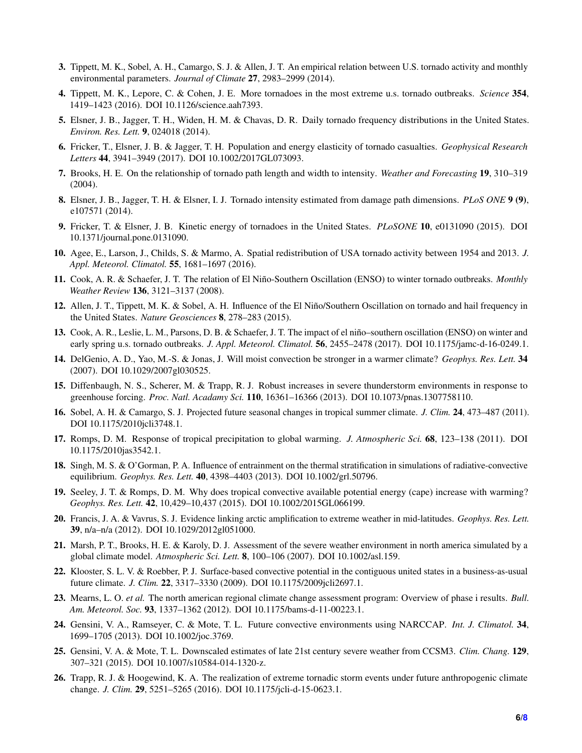- 3. Tippett, M. K., Sobel, A. H., Camargo, S. J. & Allen, J. T. An empirical relation between U.S. tornado activity and monthly environmental parameters. *Journal of Climate* 27, 2983–2999 (2014).
- <span id="page-5-0"></span>4. Tippett, M. K., Lepore, C. & Cohen, J. E. More tornadoes in the most extreme u.s. tornado outbreaks. *Science* 354, 1419–1423 (2016). DOI 10.1126/science.aah7393.
- <span id="page-5-1"></span>5. Elsner, J. B., Jagger, T. H., Widen, H. M. & Chavas, D. R. Daily tornado frequency distributions in the United States. *Environ. Res. Lett.* 9, 024018 (2014).
- <span id="page-5-2"></span>6. Fricker, T., Elsner, J. B. & Jagger, T. H. Population and energy elasticity of tornado casualties. *Geophysical Research Letters* 44, 3941–3949 (2017). DOI 10.1002/2017GL073093.
- <span id="page-5-3"></span>7. Brooks, H. E. On the relationship of tornado path length and width to intensity. *Weather and Forecasting* 19, 310–319 (2004).
- 8. Elsner, J. B., Jagger, T. H. & Elsner, I. J. Tornado intensity estimated from damage path dimensions. *PLoS ONE* 9 (9), e107571 (2014).
- <span id="page-5-4"></span>9. Fricker, T. & Elsner, J. B. Kinetic energy of tornadoes in the United States. *PLoSONE* 10, e0131090 (2015). DOI 10.1371/journal.pone.0131090.
- <span id="page-5-5"></span>10. Agee, E., Larson, J., Childs, S. & Marmo, A. Spatial redistribution of USA tornado activity between 1954 and 2013. *J. Appl. Meteorol. Climatol.* 55, 1681–1697 (2016).
- <span id="page-5-6"></span>11. Cook, A. R. & Schaefer, J. T. The relation of El Nino-Southern Oscillation (ENSO) to winter tornado outbreaks. ˜ *Monthly Weather Review* 136, 3121–3137 (2008).
- 12. Allen, J. T., Tippett, M. K. & Sobel, A. H. Influence of the El Niño/Southern Oscillation on tornado and hail frequency in the United States. *Nature Geosciences* 8, 278–283 (2015).
- <span id="page-5-7"></span>13. Cook, A. R., Leslie, L. M., Parsons, D. B. & Schaefer, J. T. The impact of el niño–southern oscillation (ENSO) on winter and early spring u.s. tornado outbreaks. *J. Appl. Meteorol. Climatol.* 56, 2455–2478 (2017). DOI 10.1175/jamc-d-16-0249.1.
- <span id="page-5-8"></span>14. DelGenio, A. D., Yao, M.-S. & Jonas, J. Will moist convection be stronger in a warmer climate? *Geophys. Res. Lett.* 34 (2007). DOI 10.1029/2007gl030525.
- <span id="page-5-9"></span>15. Diffenbaugh, N. S., Scherer, M. & Trapp, R. J. Robust increases in severe thunderstorm environments in response to greenhouse forcing. *Proc. Natl. Acadamy Sci.* 110, 16361–16366 (2013). DOI 10.1073/pnas.1307758110.
- <span id="page-5-10"></span>16. Sobel, A. H. & Camargo, S. J. Projected future seasonal changes in tropical summer climate. *J. Clim.* 24, 473–487 (2011). DOI 10.1175/2010jcli3748.1.
- <span id="page-5-11"></span>17. Romps, D. M. Response of tropical precipitation to global warming. *J. Atmospheric Sci.* 68, 123–138 (2011). DOI 10.1175/2010jas3542.1.
- <span id="page-5-12"></span>18. Singh, M. S. & O'Gorman, P. A. Influence of entrainment on the thermal stratification in simulations of radiative-convective equilibrium. *Geophys. Res. Lett.* 40, 4398–4403 (2013). DOI 10.1002/grl.50796.
- <span id="page-5-13"></span>19. Seeley, J. T. & Romps, D. M. Why does tropical convective available potential energy (cape) increase with warming? *Geophys. Res. Lett.* 42, 10,429–10,437 (2015). DOI 10.1002/2015GL066199.
- <span id="page-5-14"></span>20. Francis, J. A. & Vavrus, S. J. Evidence linking arctic amplification to extreme weather in mid-latitudes. *Geophys. Res. Lett.* 39, n/a–n/a (2012). DOI 10.1029/2012gl051000.
- <span id="page-5-15"></span>21. Marsh, P. T., Brooks, H. E. & Karoly, D. J. Assessment of the severe weather environment in north america simulated by a global climate model. *Atmospheric Sci. Lett.* 8, 100–106 (2007). DOI 10.1002/asl.159.
- 22. Klooster, S. L. V. & Roebber, P. J. Surface-based convective potential in the contiguous united states in a business-as-usual future climate. *J. Clim.* 22, 3317–3330 (2009). DOI 10.1175/2009jcli2697.1.
- 23. Mearns, L. O. *et al.* The north american regional climate change assessment program: Overview of phase i results. *Bull. Am. Meteorol. Soc.* 93, 1337–1362 (2012). DOI 10.1175/bams-d-11-00223.1.
- 24. Gensini, V. A., Ramseyer, C. & Mote, T. L. Future convective environments using NARCCAP. *Int. J. Climatol.* 34, 1699–1705 (2013). DOI 10.1002/joc.3769.
- <span id="page-5-16"></span>25. Gensini, V. A. & Mote, T. L. Downscaled estimates of late 21st century severe weather from CCSM3. *Clim. Chang.* 129, 307–321 (2015). DOI 10.1007/s10584-014-1320-z.
- <span id="page-5-17"></span>26. Trapp, R. J. & Hoogewind, K. A. The realization of extreme tornadic storm events under future anthropogenic climate change. *J. Clim.* 29, 5251–5265 (2016). DOI 10.1175/jcli-d-15-0623.1.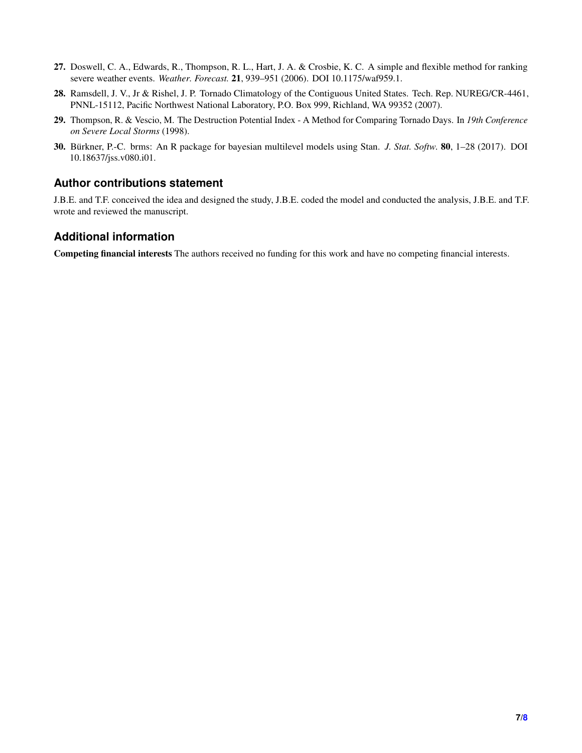- <span id="page-6-0"></span>27. Doswell, C. A., Edwards, R., Thompson, R. L., Hart, J. A. & Crosbie, K. C. A simple and flexible method for ranking severe weather events. *Weather. Forecast.* 21, 939–951 (2006). DOI 10.1175/waf959.1.
- <span id="page-6-1"></span>28. Ramsdell, J. V., Jr & Rishel, J. P. Tornado Climatology of the Contiguous United States. Tech. Rep. NUREG/CR-4461, PNNL-15112, Pacific Northwest National Laboratory, P.O. Box 999, Richland, WA 99352 (2007).
- <span id="page-6-2"></span>29. Thompson, R. & Vescio, M. The Destruction Potential Index - A Method for Comparing Tornado Days. In *19th Conference on Severe Local Storms* (1998).
- <span id="page-6-3"></span>30. Bürkner, P.-C. brms: An R package for bayesian multilevel models using Stan. *J. Stat. Softw.* 80, 1–28 (2017). DOI 10.18637/jss.v080.i01.

# **Author contributions statement**

J.B.E. and T.F. conceived the idea and designed the study, J.B.E. coded the model and conducted the analysis, J.B.E. and T.F. wrote and reviewed the manuscript.

# **Additional information**

Competing financial interests The authors received no funding for this work and have no competing financial interests.